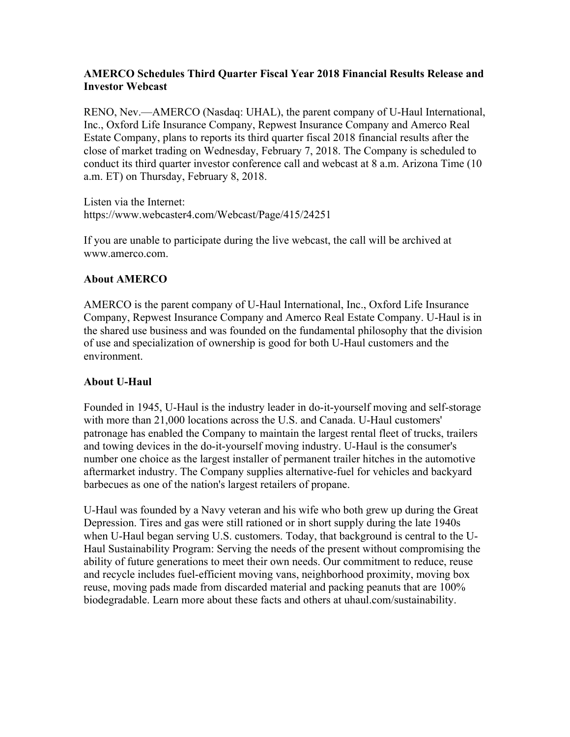## **AMERCO Schedules Third Quarter Fiscal Year 2018 Financial Results Release and Investor Webcast**

RENO, Nev.—AMERCO (Nasdaq: UHAL), the parent company of U-Haul International, Inc., Oxford Life Insurance Company, Repwest Insurance Company and Amerco Real Estate Company, plans to reports its third quarter fiscal 2018 financial results after the close of market trading on Wednesday, February 7, 2018. The Company is scheduled to conduct its third quarter investor conference call and webcast at 8 a.m. Arizona Time (10 a.m. ET) on Thursday, February 8, 2018.

Listen via the Internet: https://www.webcaster4.com/Webcast/Page/415/24251

If you are unable to participate during the live webcast, the call will be archived at www.amerco.com.

## **About AMERCO**

AMERCO is the parent company of U-Haul International, Inc., Oxford Life Insurance Company, Repwest Insurance Company and Amerco Real Estate Company. U-Haul is in the shared use business and was founded on the fundamental philosophy that the division of use and specialization of ownership is good for both U-Haul customers and the environment.

## **About U-Haul**

Founded in 1945, U-Haul is the industry leader in do-it-yourself moving and self-storage with more than 21,000 locations across the U.S. and Canada. U-Haul customers' patronage has enabled the Company to maintain the largest rental fleet of trucks, trailers and towing devices in the do-it-yourself moving industry. U-Haul is the consumer's number one choice as the largest installer of permanent trailer hitches in the automotive aftermarket industry. The Company supplies alternative-fuel for vehicles and backyard barbecues as one of the nation's largest retailers of propane.

U-Haul was founded by a Navy veteran and his wife who both grew up during the Great Depression. Tires and gas were still rationed or in short supply during the late 1940s when U-Haul began serving U.S. customers. Today, that background is central to the U-Haul Sustainability Program: Serving the needs of the present without compromising the ability of future generations to meet their own needs. Our commitment to reduce, reuse and recycle includes fuel-efficient moving vans, neighborhood proximity, moving box reuse, moving pads made from discarded material and packing peanuts that are 100% biodegradable. Learn more about these facts and others at uhaul.com/sustainability.